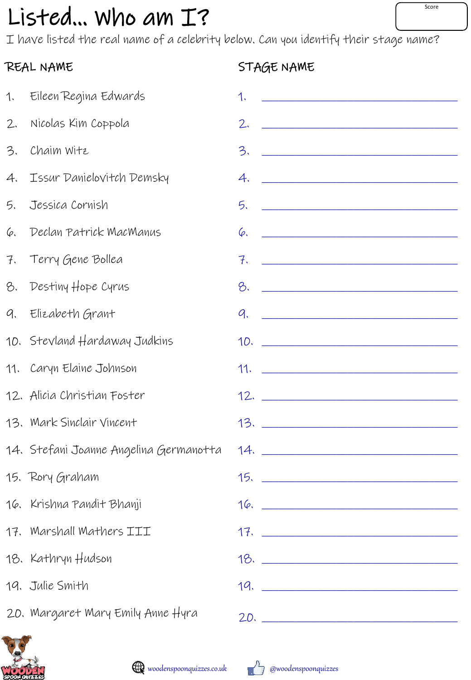# $Listed...$  who am  $I$ ?

I have listed the real name of a celebrity below. Can you identify their stage name?

### REAL NAME

### STAGE NAME

| 1. | Eileen Regina Edwards                  | 1.                                                                                                                              |
|----|----------------------------------------|---------------------------------------------------------------------------------------------------------------------------------|
| 2. | Nicolas Kim Coppola                    | <u> 1989 - Johann John Stein, fransk politik (</u><br>2.                                                                        |
| 3. | Chaim Witz                             | 3.                                                                                                                              |
| 4. | Issur Danielovitch Demsky              | 4.<br><u> —————————————————————————</u>                                                                                         |
| 5. | Jessica Cornish                        | <u> 2002 - Jan James James Jan James James James James James James James James James James James James James James Ja</u><br>5. |
| 6. | Declan Patrick MacManus                | Ģ.<br><u> 1980 - Johann John Stone, mars and de British and de British and de British and de British and de British and </u>    |
| 7. | Terry Gene Bollea                      |                                                                                                                                 |
| 8. | Destiny Hope Cyrus                     | <u> Alexandro Alexandro Alexandro Alexandro Alexandro Alexandro Alexandro Alexandro Alexandro Alexandro Alexandro </u><br>8.    |
| 9. | Elizabeth Grant                        | 9.<br><u> 2002 - Jan Jan James, margin dan berlandar personal dan berlandar dan berlanda dan berlanda dan berlanda dan</u>      |
|    | 10. Stevland Hardaway Judkins          |                                                                                                                                 |
|    | 11. Caryn Elaine Johnson               |                                                                                                                                 |
|    | 12. Alicia Christian Foster            |                                                                                                                                 |
|    | 13. Mark Sinclair Vincent              |                                                                                                                                 |
|    | 14. Stefani Joanne Angelina Germanotta |                                                                                                                                 |
|    | 15. Rory Graham                        | <u>15. ___________________________________</u>                                                                                  |
|    | 16. Krishna Pandit Bhanji              |                                                                                                                                 |
|    | 17. Marshall Mathers III               |                                                                                                                                 |
|    | 18. Kathryn Hudson                     | 18.                                                                                                                             |
|    | 19. Julie Smith                        | 19.                                                                                                                             |
|    | 20. Margaret Mary Emily Anne Hyra      | 20.                                                                                                                             |